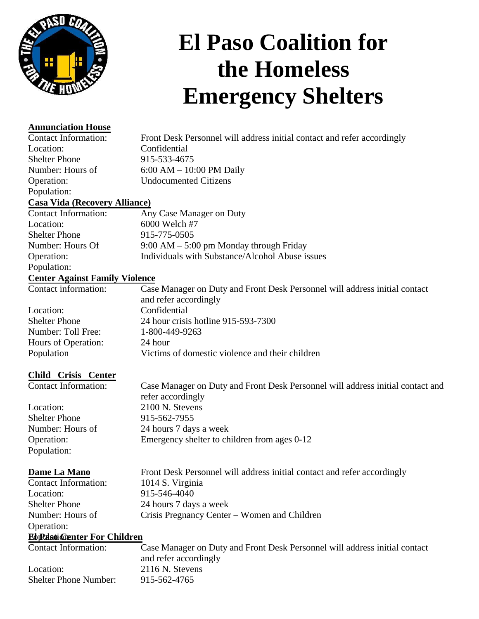

# **El Paso Coalition for the Homeless Emergency Shelters**

Front Desk Personnel will address initial contact and refer accordingly

## **Annunciation House**

Contact Information: Location: Shelter Phone Number: Hours of Operation: Population:

**Casa Vida (Recovery Alliance)**

Contact Information: Location: Shelter Phone Number: Hours Of Operation: Population: Any Case Manager on Duty 6000 Welch #7 915-775-0505 9:00 AM – 5:00 pm Monday through Friday Individuals with Substance/Alcohol Abuse issues

6:00 AM – 10:00 PM Daily Undocumented Citizens

Confidential 915-533-4675

**Center Against Family Violence**

Contact information:

Location: Shelter Phone Number: Toll Free: Hours of Operation:

Population

Case Manager on Duty and Front Desk Personnel will address initial contact and refer accordingly Confidential 24 hour crisis hotline 915-593-7300 1-800-449-9263 24 hour Victims of domestic violence and their children

# **Child Crisis Center**

Contact Information:

Location: Shelter Phone Number: Hours of Operation: Population:

Case Manager on Duty and Front Desk Personnel will address initial contact and refer accordingly 2100 N. Stevens 915-562-7955 24 hours 7 days a week Emergency shelter to children from ages 0-12

## **Dame La Mano**

Location:

Contact Information: Shelter Phone Number: Hours of Front Desk Personnel will address initial contact and refer accordingly 1014 S. Virginia 915-546-4040 24 hours 7 days a week Crisis Pregnancy Center – Women and Children

### Operation: **Ebpelsoi@enter For Children**

Contact Information: Location: Shelter Phone Number: Case Manager on Duty and Front Desk Personnel will address initial contact and refer accordingly 2116 N. Stevens 915-562-4765